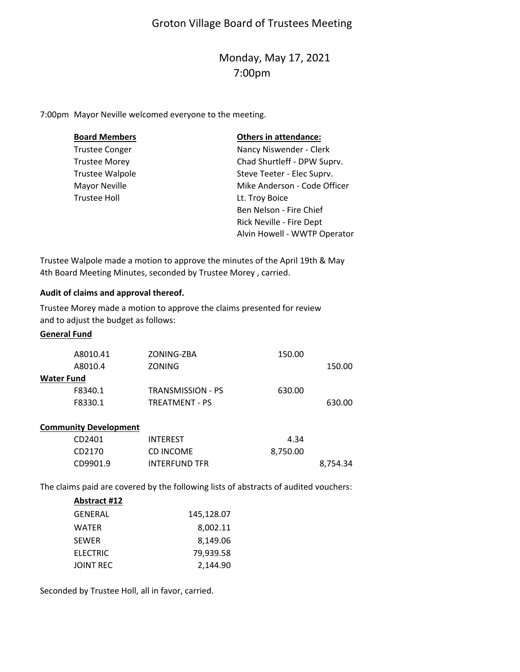# Groton Village Board of Trustees Meeting

# Monday, May 17, 2021 7:00pm

7:00pm Mayor Neville welcomed everyone to the meeting.

| <b>Board Members</b>   | <b>Others in attendance:</b> |
|------------------------|------------------------------|
| <b>Trustee Conger</b>  | Nancy Niswender - Clerk      |
| <b>Trustee Morey</b>   | Chad Shurtleff - DPW Suprv.  |
| <b>Trustee Walpole</b> | Steve Teeter - Elec Suprv.   |
| Mayor Neville          | Mike Anderson - Code Officer |
| <b>Trustee Holl</b>    | Lt. Troy Boice               |
|                        | Ben Nelson - Fire Chief      |
|                        | Rick Neville - Fire Dept     |
|                        | Alvin Howell - WWTP Operator |

Trustee Walpole made a motion to approve the minutes of the April 19th & May 4th Board Meeting Minutes, seconded by Trustee Morey , carried.

### **Audit of claims and approval thereof.**

Trustee Morey made a motion to approve the claims presented for review and to adjust the budget as follows:

## **General Fund**

| A8010.41          | ZONING-ZBA        | 150.00 |        |
|-------------------|-------------------|--------|--------|
| A8010.4           | <b>ZONING</b>     |        | 150.00 |
| <b>Water Fund</b> |                   |        |        |
| F8340.1           | TRANSMISSION - PS | 630.00 |        |
| F8330.1           | TREATMENT - PS    |        | 630.00 |
|                   |                   |        |        |

#### **Community Development**

| CD2401   | <b>INTEREST</b>      | 4.34     |          |
|----------|----------------------|----------|----------|
| CD2170   | CD INCOME            | 8,750.00 |          |
| CD9901.9 | <b>INTERFUND TFR</b> |          | 8,754.34 |

The claims paid are covered by the following lists of abstracts of audited vouchers:

| Abstract #12     |            |
|------------------|------------|
| GENERAL          | 145,128.07 |
| <b>WATER</b>     | 8,002.11   |
| <b>SEWER</b>     | 8,149.06   |
| <b>ELECTRIC</b>  | 79,939.58  |
| <b>JOINT REC</b> | 2,144.90   |

Seconded by Trustee Holl, all in favor, carried.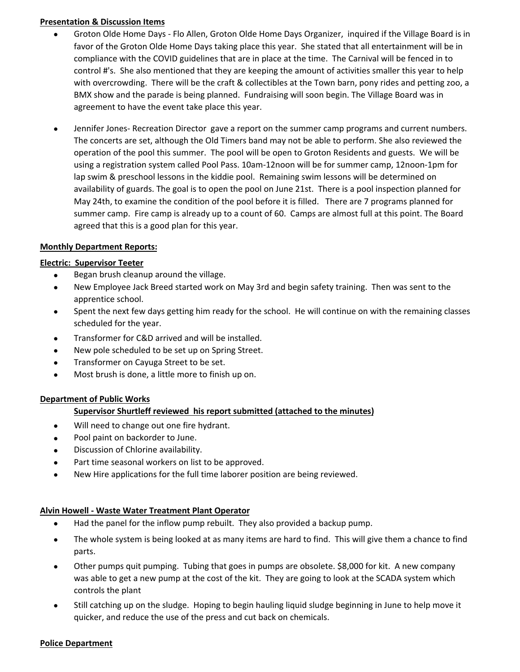### **Presentation & Discussion Items**

- $\bullet$ Groton Olde Home Days ‐ Flo Allen, Groton Olde Home Days Organizer, inquired if the Village Board is in favor of the Groton Olde Home Days taking place this year. She stated that all entertainment will be in compliance with the COVID guidelines that are in place at the time. The Carnival will be fenced in to control #'s. She also mentioned that they are keeping the amount of activities smaller this year to help with overcrowding. There will be the craft & collectibles at the Town barn, pony rides and petting zoo, a BMX show and the parade is being planned. Fundraising will soon begin. The Village Board was in agreement to have the event take place this year.
- $\bullet$ Jennifer Jones‐ Recreation Director gave a report on the summer camp programs and current numbers. The concerts are set, although the Old Timers band may not be able to perform. She also reviewed the operation of the pool this summer. The pool will be open to Groton Residents and guests. We will be using a registration system called Pool Pass. 10am‐12noon will be for summer camp, 12noon‐1pm for lap swim & preschool lessons in the kiddie pool. Remaining swim lessons will be determined on availability of guards. The goal is to open the pool on June 21st. There is a pool inspection planned for May 24th, to examine the condition of the pool before it is filled. There are 7 programs planned for summer camp. Fire camp is already up to a count of 60. Camps are almost full at this point. The Board agreed that this is a good plan for this year.

### **Monthly Department Reports:**

#### **Electric: Supervisor Teeter**

- **Began brush cleanup around the village.**
- $\bullet$ New Employee Jack Breed started work on May 3rd and begin safety training. Then was sent to the apprentice school.
- $\bullet$ Spent the next few days getting him ready for the school. He will continue on with the remaining classes scheduled for the year.
- **•** Transformer for C&D arrived and will be installed.
- New pole scheduled to be set up on Spring Street.
- Transformer on Cayuga Street to be set.
- Most brush is done, a little more to finish up on.

#### **Department of Public Works**

### **Supervisor Shurtleff reviewed his report submitted (attached to the minutes)**

- Will need to change out one fire hydrant.
- Pool paint on backorder to June.
- Discussion of Chlorine availability.
- Part time seasonal workers on list to be approved.
- New Hire applications for the full time laborer position are being reviewed.

### **Alvin Howell ‐ Waste Water Treatment Plant Operator**

- $\bullet$ Had the panel for the inflow pump rebuilt. They also provided a backup pump.
- $\bullet$ The whole system is being looked at as many items are hard to find. This will give them a chance to find parts.
- $\bullet$ Other pumps quit pumping. Tubing that goes in pumps are obsolete. \$8,000 for kit. A new company was able to get a new pump at the cost of the kit. They are going to look at the SCADA system which controls the plant
- $\bullet$ Still catching up on the sludge. Hoping to begin hauling liquid sludge beginning in June to help move it quicker, and reduce the use of the press and cut back on chemicals.

#### **Police Department**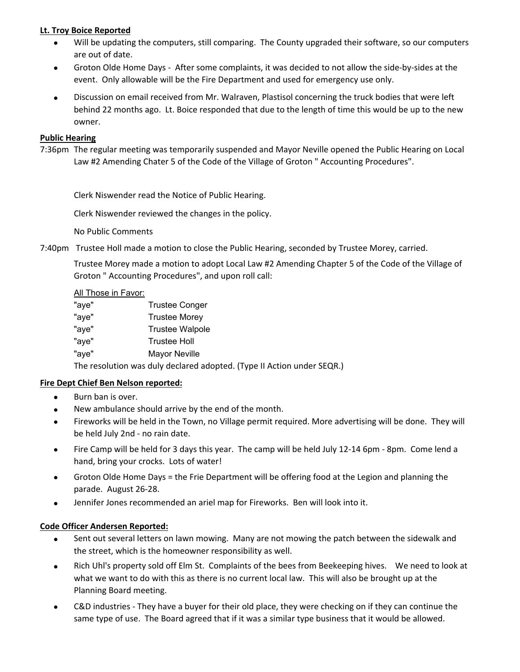## **Lt. Troy Boice Reported**

- $\bullet$ Will be updating the computers, still comparing. The County upgraded their software, so our computers are out of date.
- $\bullet$ Groton Olde Home Days ‐ After some complaints, it was decided to not allow the side‐by‐sides at the event. Only allowable will be the Fire Department and used for emergency use only.
- $\bullet$ Discussion on email received from Mr. Walraven, Plastisol concerning the truck bodies that were left behind 22 months ago. Lt. Boice responded that due to the length of time this would be up to the new owner.

### **Public Hearing**

7:36pm The regular meeting was temporarily suspended and Mayor Neville opened the Public Hearing on Local Law #2 Amending Chater 5 of the Code of the Village of Groton " Accounting Procedures".

Clerk Niswender read the Notice of Public Hearing.

Clerk Niswender reviewed the changes in the policy.

No Public Comments

7:40pm Trustee Holl made a motion to close the Public Hearing, seconded by Trustee Morey, carried.

Trustee Morey made a motion to adopt Local Law #2 Amending Chapter 5 of the Code of the Village of Groton " Accounting Procedures", and upon roll call:

#### All Those in Favor:

| "aye" | <b>Trustee Conger</b>  |
|-------|------------------------|
| "aye" | <b>Trustee Morey</b>   |
| "aye" | <b>Trustee Walpole</b> |
| "aye" | <b>Trustee Holl</b>    |
| "aye" | <b>Mayor Neville</b>   |

The resolution was duly declared adopted. (Type II Action under SEQR.)

### **Fire Dept Chief Ben Nelson reported:**

- $\bullet$ Burn ban is over.
- $\bullet$ New ambulance should arrive by the end of the month.
- $\bullet$ Fireworks will be held in the Town, no Village permit required. More advertising will be done. They will be held July 2nd ‐ no rain date.
- $\bullet$ Fire Camp will be held for 3 days this year. The camp will be held July 12‐14 6pm ‐ 8pm. Come lend a hand, bring your crocks. Lots of water!
- $\bullet$ Groton Olde Home Days = the Frie Department will be offering food at the Legion and planning the parade. August 26‐28.
- $\bullet$ Jennifer Jones recommended an ariel map for Fireworks. Ben will look into it.

### **Code Officer Andersen Reported:**

- $\bullet$ Sent out several letters on lawn mowing. Many are not mowing the patch between the sidewalk and the street, which is the homeowner responsibility as well.
- $\bullet$ Rich Uhl's property sold off Elm St. Complaints of the bees from Beekeeping hives. We need to look at what we want to do with this as there is no current local law. This will also be brought up at the Planning Board meeting.
- $\bullet$ C&D industries ‐ They have a buyer for their old place, they were checking on if they can continue the same type of use. The Board agreed that if it was a similar type business that it would be allowed.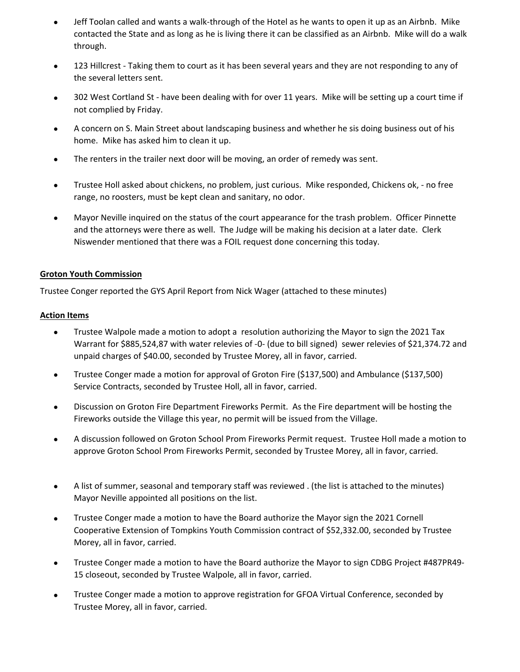- $\bullet$ Jeff Toolan called and wants a walk‐through of the Hotel as he wants to open it up as an Airbnb. Mike contacted the State and as long as he is living there it can be classified as an Airbnb. Mike will do a walk through.
- $\bullet$ 123 Hillcrest - Taking them to court as it has been several years and they are not responding to any of the several letters sent.
- $\bullet$ 302 West Cortland St - have been dealing with for over 11 years. Mike will be setting up a court time if not complied by Friday.
- $\bullet$ A concern on S. Main Street about landscaping business and whether he sis doing business out of his home. Mike has asked him to clean it up.
- $\bullet$ The renters in the trailer next door will be moving, an order of remedy was sent.
- $\bullet$ Trustee Holl asked about chickens, no problem, just curious. Mike responded, Chickens ok, ‐ no free range, no roosters, must be kept clean and sanitary, no odor.
- $\bullet$ Mayor Neville inquired on the status of the court appearance for the trash problem. Officer Pinnette and the attorneys were there as well. The Judge will be making his decision at a later date. Clerk Niswender mentioned that there was a FOIL request done concerning this today.

### **Groton Youth Commission**

Trustee Conger reported the GYS April Report from Nick Wager (attached to these minutes)

## **Action Items**

- $\bullet$ Trustee Walpole made a motion to adopt a resolution authorizing the Mayor to sign the 2021 Tax Warrant for \$885,524,87 with water relevies of ‐0‐ (due to bill signed) sewer relevies of \$21,374.72 and unpaid charges of \$40.00, seconded by Trustee Morey, all in favor, carried.
- $\bullet$ Trustee Conger made a motion for approval of Groton Fire (\$137,500) and Ambulance (\$137,500) Service Contracts, seconded by Trustee Holl, all in favor, carried.
- $\bullet$ Discussion on Groton Fire Department Fireworks Permit. As the Fire department will be hosting the Fireworks outside the Village this year, no permit will be issued from the Village.
- $\bullet$ A discussion followed on Groton School Prom Fireworks Permit request. Trustee Holl made a motion to approve Groton School Prom Fireworks Permit, seconded by Trustee Morey, all in favor, carried.
- $\bullet$ A list of summer, seasonal and temporary staff was reviewed . (the list is attached to the minutes) Mayor Neville appointed all positions on the list.
- $\bullet$ Trustee Conger made a motion to have the Board authorize the Mayor sign the 2021 Cornell Cooperative Extension of Tompkins Youth Commission contract of \$52,332.00, seconded by Trustee Morey, all in favor, carried.
- $\bullet$ Trustee Conger made a motion to have the Board authorize the Mayor to sign CDBG Project #487PR49‐ 15 closeout, seconded by Trustee Walpole, all in favor, carried.
- $\bullet$ Trustee Conger made a motion to approve registration for GFOA Virtual Conference, seconded by Trustee Morey, all in favor, carried.